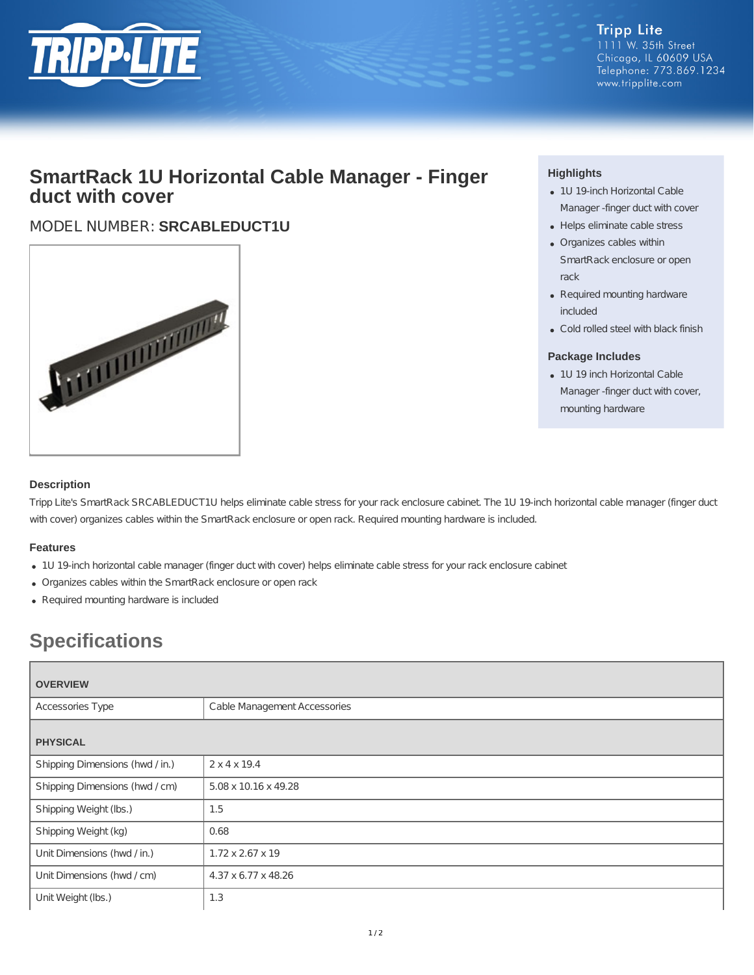

**Tripp Lite** 1111 W. 35th Street Chicago, IL 60609 USA Telephone: 773.869.1234 www.tripplite.com

## **SmartRack 1U Horizontal Cable Manager - Finger duct with cover**

### MODEL NUMBER: **SRCABLEDUCT1U**



#### **Highlights**

- 1U 19-inch Horizontal Cable Manager -finger duct with cover
- Helps eliminate cable stress
- Organizes cables within SmartRack enclosure or open rack
- Required mounting hardware included
- Cold rolled steel with black finish

#### **Package Includes**

• 1U 19 inch Horizontal Cable Manager -finger duct with cover, mounting hardware

#### **Description**

Tripp Lite's SmartRack SRCABLEDUCT1U helps eliminate cable stress for your rack enclosure cabinet. The 1U 19-inch horizontal cable manager (finger duct with cover) organizes cables within the SmartRack enclosure or open rack. Required mounting hardware is included.

#### **Features**

- 1U 19-inch horizontal cable manager (finger duct with cover) helps eliminate cable stress for your rack enclosure cabinet
- Organizes cables within the SmartRack enclosure or open rack
- Required mounting hardware is included

# **Specifications**

| <b>OVERVIEW</b>                 |                              |  |
|---------------------------------|------------------------------|--|
| Accessories Type                | Cable Management Accessories |  |
| <b>PHYSICAL</b>                 |                              |  |
| Shipping Dimensions (hwd / in.) | $2 \times 4 \times 19.4$     |  |
| Shipping Dimensions (hwd / cm)  | 5.08 x 10.16 x 49.28         |  |
| Shipping Weight (lbs.)          | 1.5                          |  |
| Shipping Weight (kg)            | 0.68                         |  |
| Unit Dimensions (hwd / in.)     | $1.72 \times 2.67 \times 19$ |  |
| Unit Dimensions (hwd / cm)      | 4.37 x 6.77 x 48.26          |  |
| Unit Weight (lbs.)              | 1.3                          |  |